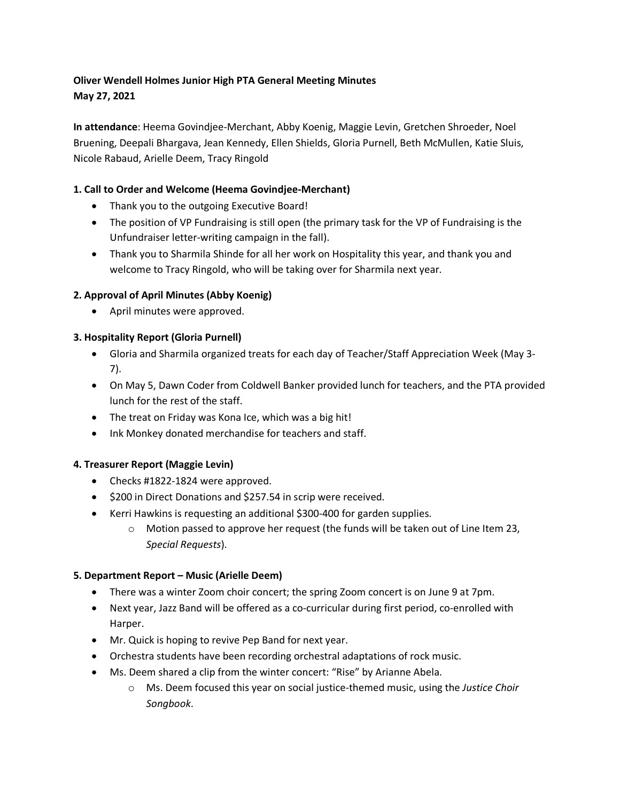# **Oliver Wendell Holmes Junior High PTA General Meeting Minutes May 27, 2021**

**In attendance**: Heema Govindjee-Merchant, Abby Koenig, Maggie Levin, Gretchen Shroeder, Noel Bruening, Deepali Bhargava, Jean Kennedy, Ellen Shields, Gloria Purnell, Beth McMullen, Katie Sluis, Nicole Rabaud, Arielle Deem, Tracy Ringold

## **1. Call to Order and Welcome (Heema Govindjee-Merchant)**

- Thank you to the outgoing Executive Board!
- The position of VP Fundraising is still open (the primary task for the VP of Fundraising is the Unfundraiser letter-writing campaign in the fall).
- Thank you to Sharmila Shinde for all her work on Hospitality this year, and thank you and welcome to Tracy Ringold, who will be taking over for Sharmila next year.

## **2. Approval of April Minutes (Abby Koenig)**

• April minutes were approved.

## **3. Hospitality Report (Gloria Purnell)**

- Gloria and Sharmila organized treats for each day of Teacher/Staff Appreciation Week (May 3- 7).
- On May 5, Dawn Coder from Coldwell Banker provided lunch for teachers, and the PTA provided lunch for the rest of the staff.
- The treat on Friday was Kona Ice, which was a big hit!
- Ink Monkey donated merchandise for teachers and staff.

#### **4. Treasurer Report (Maggie Levin)**

- Checks #1822-1824 were approved.
- \$200 in Direct Donations and \$257.54 in scrip were received.
- Kerri Hawkins is requesting an additional \$300-400 for garden supplies.
	- o Motion passed to approve her request (the funds will be taken out of Line Item 23, *Special Requests*).

#### **5. Department Report – Music (Arielle Deem)**

- There was a winter Zoom choir concert; the spring Zoom concert is on June 9 at 7pm.
- Next year, Jazz Band will be offered as a co-curricular during first period, co-enrolled with Harper.
- Mr. Quick is hoping to revive Pep Band for next year.
- Orchestra students have been recording orchestral adaptations of rock music.
- Ms. Deem shared a clip from the winter concert: "Rise" by Arianne Abela.
	- o Ms. Deem focused this year on social justice-themed music, using the *Justice Choir Songbook*.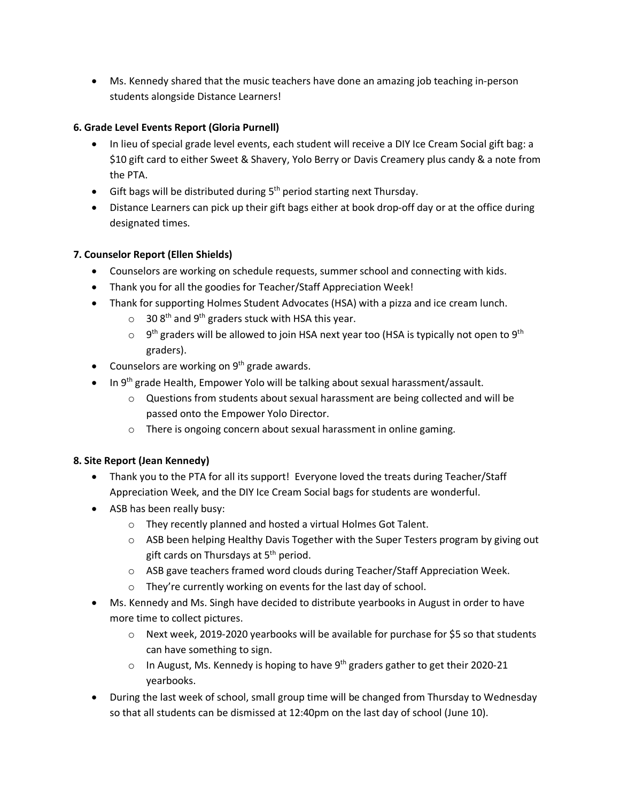• Ms. Kennedy shared that the music teachers have done an amazing job teaching in-person students alongside Distance Learners!

### **6. Grade Level Events Report (Gloria Purnell)**

- In lieu of special grade level events, each student will receive a DIY Ice Cream Social gift bag: a \$10 gift card to either Sweet & Shavery, Yolo Berry or Davis Creamery plus candy & a note from the PTA.
- Gift bags will be distributed during  $5<sup>th</sup>$  period starting next Thursday.
- Distance Learners can pick up their gift bags either at book drop-off day or at the office during designated times.

#### **7. Counselor Report (Ellen Shields)**

- Counselors are working on schedule requests, summer school and connecting with kids.
- Thank you for all the goodies for Teacher/Staff Appreciation Week!
- Thank for supporting Holmes Student Advocates (HSA) with a pizza and ice cream lunch.
	- $\circ$  30 8<sup>th</sup> and 9<sup>th</sup> graders stuck with HSA this year.
	- $\circ$  9<sup>th</sup> graders will be allowed to join HSA next year too (HSA is typically not open to 9<sup>th</sup> graders).
- Counselors are working on  $9<sup>th</sup>$  grade awards.
- In 9<sup>th</sup> grade Health, Empower Yolo will be talking about sexual harassment/assault.
	- o Questions from students about sexual harassment are being collected and will be passed onto the Empower Yolo Director.
	- o There is ongoing concern about sexual harassment in online gaming.

#### **8. Site Report (Jean Kennedy)**

- Thank you to the PTA for all its support! Everyone loved the treats during Teacher/Staff Appreciation Week, and the DIY Ice Cream Social bags for students are wonderful.
- ASB has been really busy:
	- o They recently planned and hosted a virtual Holmes Got Talent.
	- $\circ$  ASB been helping Healthy Davis Together with the Super Testers program by giving out gift cards on Thursdays at  $5<sup>th</sup>$  period.
	- o ASB gave teachers framed word clouds during Teacher/Staff Appreciation Week.
	- o They're currently working on events for the last day of school.
- Ms. Kennedy and Ms. Singh have decided to distribute yearbooks in August in order to have more time to collect pictures.
	- o Next week, 2019-2020 yearbooks will be available for purchase for \$5 so that students can have something to sign.
	- $\circ$  In August, Ms. Kennedy is hoping to have 9<sup>th</sup> graders gather to get their 2020-21 yearbooks.
- During the last week of school, small group time will be changed from Thursday to Wednesday so that all students can be dismissed at 12:40pm on the last day of school (June 10).